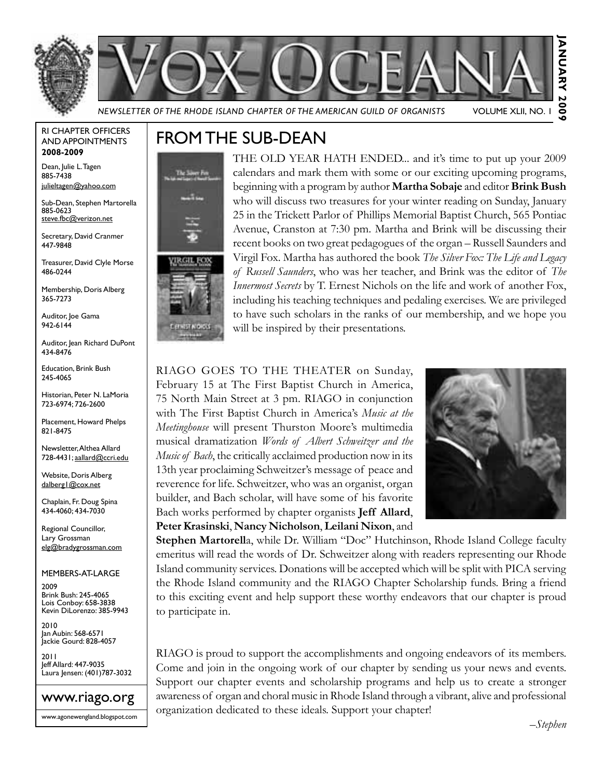



*Newsletter of the Rhode Island Chapter of the American Guild of Organists* Volume XLII, No. 1

#### RI Chapter Officers and Appointments **2008-2009**

Dean, Julie L. Tagen 885-7438 julieltagen@yahoo.com

Sub-Dean, Stephen Martorella 885-0623 steve.fbc@verizon.net

Secretary, David Cranmer 447-9848

Treasurer, David Clyle Morse 486-0244

Membership, Doris Alberg 365-7273

Auditor, Joe Gama 942-6144

Auditor, Iean Richard DuPont 434-8476

Education, Brink Bush 245-4065

Historian, Peter N. LaMoria 723-6974; 726-2600

Placement, Howard Phelps 821-8475

Newsletter, Althea Allard 728-4431; aallard@ccri.edu

Website, Doris Alberg dalberg1@cox.net

Chaplain, Fr. Doug Spina 434-4060; 434-7030

Regional Councillor, Lary Grossman elg@bradygrossman.com

Members-at-Large

2009 Brink Bush: 245-4065 Lois Conboy: 658-3838 Kevin DiLorenzo: 385-9943

2010 Jan Aubin: 568-6571 Jackie Gourd: 828-4057

2011 Jeff Allard: 447-9035 Laura Jensen: (401)787-3032



www.agonewengland.blogspot.com

# From the Sub-Dean



THE OLD YEAR HATH ENDED... and it's time to put up your 2009 calendars and mark them with some or our exciting upcoming programs, beginning with a program by author **Martha Sobaje** and editor **Brink Bush** who will discuss two treasures for your winter reading on Sunday, January 25 in the Trickett Parlor of Phillips Memorial Baptist Church, 565 Pontiac Avenue, Cranston at 7:30 pm. Martha and Brink will be discussing their recent books on two great pedagogues of the organ – Russell Saunders and Virgil Fox. Martha has authored the book *The Silver Fox: The Life and Legacy of Russell Saunders*, who was her teacher, and Brink was the editor of *The Innermost Secrets* by T. Ernest Nichols on the life and work of another Fox, including his teaching techniques and pedaling exercises. We are privileged to have such scholars in the ranks of our membership, and we hope you will be inspired by their presentations.

RIAGO GOES TO THE THEATER on Sunday, February 15 at The First Baptist Church in America, 75 North Main Street at 3 pm. RIAGO in conjunction with The First Baptist Church in America's *Music at the Meetinghouse* will present Thurston Moore's multimedia musical dramatization *Words of Albert Schweitzer and the Music of Bach*, the critically acclaimed production now in its 13th year proclaiming Schweitzer's message of peace and reverence for life. Schweitzer, who was an organist, organ builder, and Bach scholar, will have some of his favorite Bach works performed by chapter organists **Jeff Allard**, **Peter Krasinski**, **Nancy Nicholson**, **Leilani Nixon**, and



**Stephen Martorell**a, while Dr. William "Doc" Hutchinson, Rhode Island College faculty emeritus will read the words of Dr. Schweitzer along with readers representing our Rhode Island community services. Donations will be accepted which will be split with PICA serving the Rhode Island community and the RIAGO Chapter Scholarship funds. Bring a friend to this exciting event and help support these worthy endeavors that our chapter is proud to participate in.

RIAGO is proud to support the accomplishments and ongoing endeavors of its members. Come and join in the ongoing work of our chapter by sending us your news and events. Support our chapter events and scholarship programs and help us to create a stronger awareness of organ and choral music in Rhode Island through a vibrant, alive and professional organization dedicated to these ideals. Support your chapter!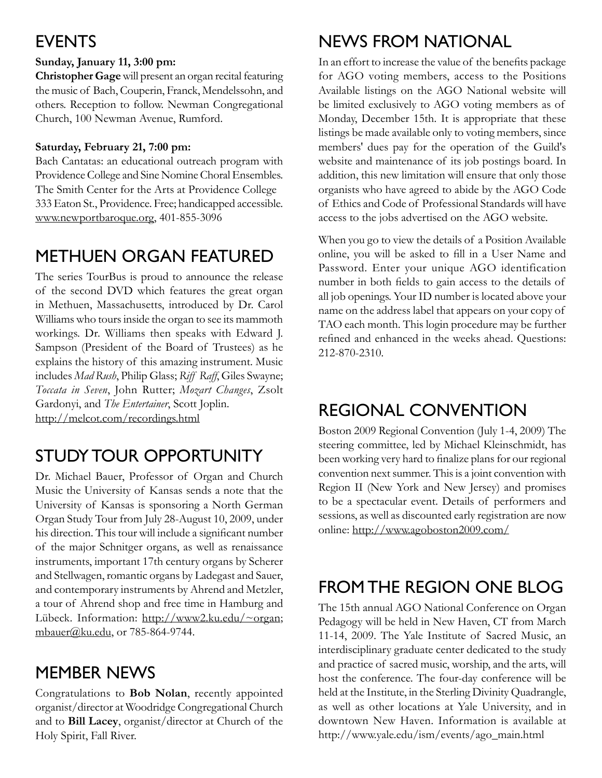# **EVENTS**

## **Sunday, January 11, 3:00 pm:**

**Christopher Gage** will present an organ recital featuring the music of Bach, Couperin, Franck, Mendelssohn, and others. Reception to follow. Newman Congregational Church, 100 Newman Avenue, Rumford.

### **Saturday, February 21, 7:00 pm:**

Bach Cantatas: an educational outreach program with Providence College and Sine Nomine Choral Ensembles. The Smith Center for the Arts at Providence College 333 Eaton St., Providence. Free; handicapped accessible. www.newportbaroque.org, 401-855-3096

# Methuen Organ Featured

The series TourBus is proud to announce the release of the second DVD which features the great organ in Methuen, Massachusetts, introduced by Dr. Carol Williams who tours inside the organ to see its mammoth workings. Dr. Williams then speaks with Edward J. Sampson (President of the Board of Trustees) as he explains the history of this amazing instrument. Music includes *Mad Rush*, Philip Glass; *Riff Raff*, Giles Swayne; *Toccata in Seven*, John Rutter; *Mozart Changes*, Zsolt Gardonyi, and *The Entertainer*, Scott Joplin. http://melcot.com/recordings.html

# Study Tour Opportunity

Dr. Michael Bauer, Professor of Organ and Church Music the University of Kansas sends a note that the University of Kansas is sponsoring a North German Organ Study Tour from July 28-August 10, 2009, under his direction. This tour will include a significant number of the major Schnitger organs, as well as renaissance instruments, important 17th century organs by Scherer and Stellwagen, romantic organs by Ladegast and Sauer, and contemporary instruments by Ahrend and Metzler, a tour of Ahrend shop and free time in Hamburg and Lübeck. Information: http://www2.ku.edu/~organ; mbauer@ku.edu, or 785-864-9744.

# Member News

Congratulations to **Bob Nolan**, recently appointed organist/director at Woodridge Congregational Church and to **Bill Lacey**, organist/director at Church of the Holy Spirit, Fall River.

# News from National

In an effort to increase the value of the benefits package for AGO voting members, access to the Positions Available listings on the AGO National website will be limited exclusively to AGO voting members as of Monday, December 15th. It is appropriate that these listings be made available only to voting members, since members' dues pay for the operation of the Guild's website and maintenance of its job postings board. In addition, this new limitation will ensure that only those organists who have agreed to abide by the AGO Code of Ethics and Code of Professional Standards will have access to the jobs advertised on the AGO website.

When you go to view the details of a Position Available online, you will be asked to fill in a User Name and Password. Enter your unique AGO identification number in both fields to gain access to the details of all job openings. Your ID number is located above your name on the address label that appears on your copy of TAO each month. This login procedure may be further refined and enhanced in the weeks ahead. Questions: 212-870-2310.

# Regional Convention

Boston 2009 Regional Convention (July 1-4, 2009) The steering committee, led by Michael Kleinschmidt, has been working very hard to finalize plans for our regional convention next summer. This is a joint convention with Region II (New York and New Jersey) and promises to be a spectacular event. Details of performers and sessions, as well as discounted early registration are now online: http://www.agoboston2009.com/

# From the Region One Blog

The 15th annual AGO National Conference on Organ Pedagogy will be held in New Haven, CT from March 11-14, 2009. The Yale Institute of Sacred Music, an interdisciplinary graduate center dedicated to the study and practice of sacred music, worship, and the arts, will host the conference. The four-day conference will be held at the Institute, in the Sterling Divinity Quadrangle, as well as other locations at Yale University, and in downtown New Haven. Information is available at http://www.yale.edu/ism/events/ago\_main.html